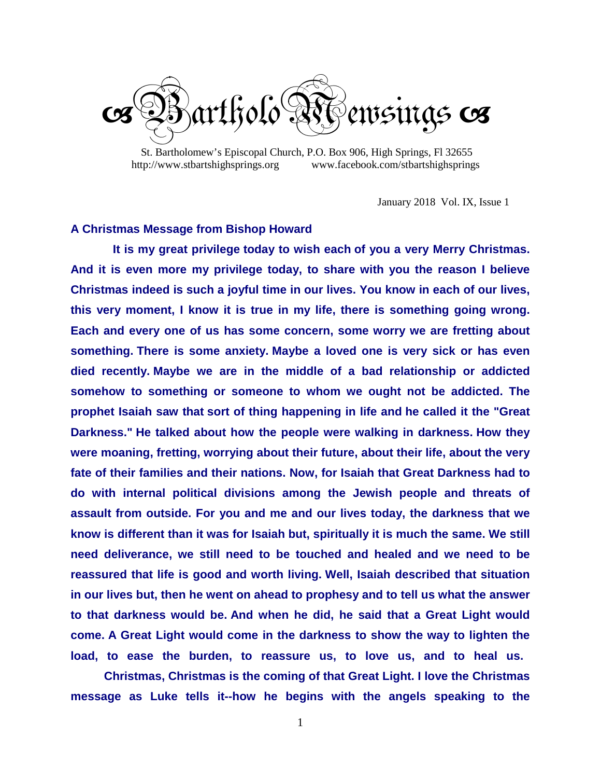

 St. Bartholomew's Episcopal Church, P.O. Box 906, High Springs, Fl 32655 http://www.stbartshighsprings.org www.facebook.com/stbartshighsprings

January 2018 Vol. IX, Issue 1

#### **A Christmas Message from Bishop Howard**

 **It is my great privilege today to wish each of you a very Merry Christmas. And it is even more my privilege today, to share with you the reason I believe Christmas indeed is such a joyful time in our lives. You know in each of our lives, this very moment, I know it is true in my life, there is something going wrong. Each and every one of us has some concern, some worry we are fretting about something. There is some anxiety. Maybe a loved one is very sick or has even died recently. Maybe we are in the middle of a bad relationship or addicted somehow to something or someone to whom we ought not be addicted. The prophet Isaiah saw that sort of thing happening in life and he called it the "Great Darkness." He talked about how the people were walking in darkness. How they were moaning, fretting, worrying about their future, about their life, about the very fate of their families and their nations. Now, for Isaiah that Great Darkness had to do with internal political divisions among the Jewish people and threats of assault from outside. For you and me and our lives today, the darkness that we know is different than it was for Isaiah but, spiritually it is much the same. We still need deliverance, we still need to be touched and healed and we need to be reassured that life is good and worth living. Well, Isaiah described that situation in our lives but, then he went on ahead to prophesy and to tell us what the answer to that darkness would be. And when he did, he said that a Great Light would come. A Great Light would come in the darkness to show the way to lighten the load, to ease the burden, to reassure us, to love us, and to heal us.** 

 **Christmas, Christmas is the coming of that Great Light. I love the Christmas message as Luke tells it--how he begins with the angels speaking to the** 

1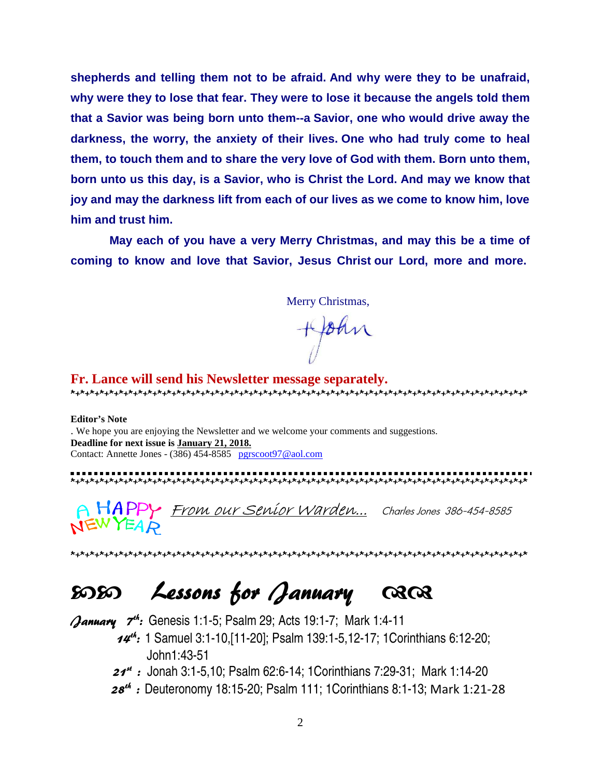**shepherds and telling them not to be afraid. And why were they to be unafraid, why were they to lose that fear. They were to lose it because the angels told them that a Savior was being born unto them--a Savior, one who would drive away the darkness, the worry, the anxiety of their lives. One who had truly come to heal them, to touch them and to share the very love of God with them. Born unto them, born unto us this day, is a Savior, who is Christ the Lord. And may we know that joy and may the darkness lift from each of our lives as we come to know him, love him and trust him.** 

 **May each of you have a very Merry Christmas, and may this be a time of coming to know and love that Savior, Jesus Christ our Lord, more and more.** 

Merry Christmas,

 $+\beta\theta n$ 

**Fr. Lance will send his Newsletter message separately.**  \*+\*+\*+\*+\*+\*+\*+\*+\*+\*+\*+\*+\*+\*+\*+\*+\*+\*+\*+\*+\*+\*+\*+\*+\*+\*+\*+\*+\*+\*+\*+\*+\*+\*+\*+\*+\*+\*+\*+\*+\*+\*+\*+\*+\*+\*+\*+\*

**Editor's Note**

. We hope you are enjoying the Newsletter and we welcome your comments and suggestions. **Deadline for next issue is January 21, 2018.** Contact: Annette Jones - (386) 454-8585 pgrscoot97@aol.com

\*+\*+\*+\*+\*+\*+\*+\*+\*+\*+\*+\*+\*+\*+\*+\*+\*+\*+\*+\*+\*+\*+\*+\*+\*+\*+\*+\*+\*+\*+\*+\*+\*+\*+\*+\*+\*+\*+\*+\*+\*+\*+\*+\*+\*+\*+\*+\*

A HAPPY From our Senior Warden... Charles Jones 386-454-8585

\*+\*+\*+\*+\*+\*+\*+\*+\*+\*+\*+\*+\*+\*+\*+\*+\*+\*+\*+\*+\*+\*+\*+\*+\*+\*+\*+\*+\*+\*+\*+\*+\*+\*+\*+\*+\*+\*+\*+\*+\*+\*+\*+\*+\*+\*+\*+\*

# $\mathcal D$  $\mathcal D$  Lessons for January 2202

January 7<sup>th</sup>: Genesis 1:1-5; Psalm 29; Acts 19:1-7; Mark 1:4-11

- 14<sup>th</sup>: 1 Samuel 3:1-10,[11-20]; Psalm 139:1-5,12-17; 1Corinthians 6:12-20; John1:43-51
- **21<sup>st</sup>**: Jonah 3:1-5,10; Psalm 62:6-14; 1Corinthians 7:29-31; Mark 1:14-20
- 28<sup>th</sup>: Deuteronomy 18:15-20; Psalm 111; 1Corinthians 8:1-13; Mark 1:21-28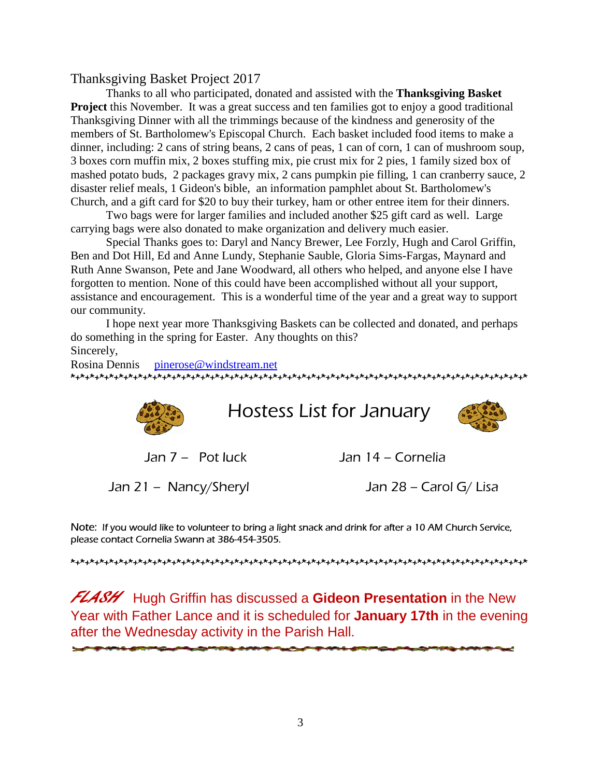#### Thanksgiving Basket Project 2017

 Thanks to all who participated, donated and assisted with the **Thanksgiving Basket Project** this November. It was a great success and ten families got to enjoy a good traditional Thanksgiving Dinner with all the trimmings because of the kindness and generosity of the **Project** this November. It was a great success and ten families got to enjoy a good traditional Thanksgiving Dinner with all the trimmings because of the kindness and generosity of the members of St. Bartholomew's Episcop dinner, including: 2 cans of string beans, 2 cans of peas, 1 can of corn, 1 can of mushroom soup, 3 boxes corn muffin mix, 2 boxes stuffing mix, pie crust mix for 2 pies, 1 family sized box of dinner, including: 2 cans of string beans, 2 cans of peas, 1 can of corn, 1 can of mushroom soup, 3 boxes corn muffin mix, 2 boxes stuffing mix, pie crust mix for 2 pies, 1 family sized box of mashed potato buds, 2 package mashed potato buds, 2 packages gravy mix, 2 cans pumpkin pie filling, 1 can cranberry sa disaster relief meals, 1 Gideon's bible, an information pamphlet about St. Bartholomew's Church, and a gift card for \$20 to buy their turkey, ham or other entree item for their dinners.

Two bags were for larger families and included another \$25 gift card as well. Large carrying bags were also donated to make organization and delivery much easier. 20 to buy their turkey, ham or other entree item for their dinners.<br>rger families and included another \$25 gift card as well. Large<br>teed to make organization and delivery much easier.<br>to: Daryl and Nancy Brewer, Lee Forzly

Special Thanks goes to: Daryl and Nancy Brewer, Lee Forzly, Hugh and Carol Griffin, Ben and Dot Hill, Ed and Anne Lundy, Stephanie Sauble, Gloria Sims Fargas, Ruth Anne Swanson, Pete and Jane Woodward, all others who helped, and anyone else I have Ruth Anne Swanson, Pete and Jane Woodward, all others who helped, and anyone else I ha<br>forgotten to mention. None of this could have been accomplished without all your support, assistance and encouragement. This is a wonderful time of the year and a great way to support our community.

I hope next year more Thanksgiving Baskets can be collected and donated, and perhaps do something in the spring for Easter. Sincerely, This is a wonderful time of the year and a<br>Thanksgiving Baskets can be collected and a<br>Easter. Any thoughts on this?

Rosina Dennis pinerose@windstream.net \*+\*+\*+\*+\*+\*+\*+\*+\*+\*+\*+\*+\*+\*+\*+\*+\*+\*+\*+\*+\*+\*+\*+\*+\*+\*+\*+\*+\*+\*+\*+\*+\*+\*+\*+\*+\*+\*+\*+\*+\*+\*+\*+\*+\*+\*+\*+\*



Hostess List for January



Jan 7 – Pot luck

Jan 14 – Cornelia

Jan 21 – Nancy/Sheryl

Jan 28 – Carol G/ Lisa

Note: If you would like to volunteer to bring a light snack and drink for after a 10 AM Church Service, please contact Cornelia Swann at 386 contact 386-454-3505. İ

\*+\*+\*+\*+\*+\*+\*+\*+\*+\*+\*+\*+\*+\*+\*+\*+\*+\*+\*+\*+\*+\*+\*+\*+\*+\*+\*+\*+\*+\*+\*+\*+\*+\*+\*+\*+\*+\*+\*+\*+\*+\*+\*+\*+\*+\*+\*+\*

FLASH Hugh Griffin has discussed a Hugh **Gideon Presentation** in the New Year with Father Lance and it is scheduled for January 17th in the evening after the Wednesday activity in the Parish Hall.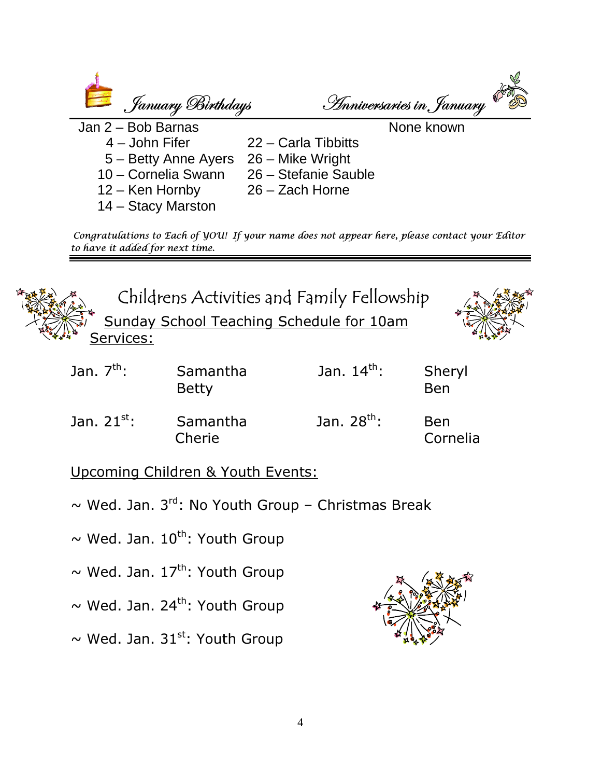| January Birthdays    |                      | <b><i>Inniversaries in January</i></b> |  |
|----------------------|----------------------|----------------------------------------|--|
| Jan 2 – Bob Barnas   |                      | None known                             |  |
| $4 -$ John Fifer     | 22 – Carla Tibbitts  |                                        |  |
| 5 – Betty Anne Ayers | 26 – Mike Wright     |                                        |  |
| 10 - Cornelia Swann  | 26 - Stefanie Sauble |                                        |  |
| $12 -$ Ken Hornby    | 26 - Zach Horne      |                                        |  |
| 14 - Stacy Marston   |                      |                                        |  |

Congratulations to Each of YOU! If your name does not appear here, please contact your Editor to have it added for next time.



| Jan. 7 <sup>th</sup> :     | Samantha<br><b>Betty</b> | Jan. 14 <sup>th</sup> : | Sheryl<br><b>Ben</b>   |
|----------------------------|--------------------------|-------------------------|------------------------|
| Jan. 2 $1^{\rm st}$ : $\,$ | Samantha<br>Cherie       | Jan. 28 <sup>th</sup> : | <b>Ben</b><br>Cornelia |

## Upcoming Children & Youth Events:

- $\sim$  Wed. Jan. 3<sup>rd</sup>: No Youth Group Christmas Break
- $\sim$  Wed. Jan. 10<sup>th</sup>: Youth Group
- $\sim$  Wed. Jan. 17<sup>th</sup>: Youth Group
- $\sim$  Wed. Jan. 24<sup>th</sup>: Youth Group
- $\sim$  Wed. Jan. 31st: Youth Group

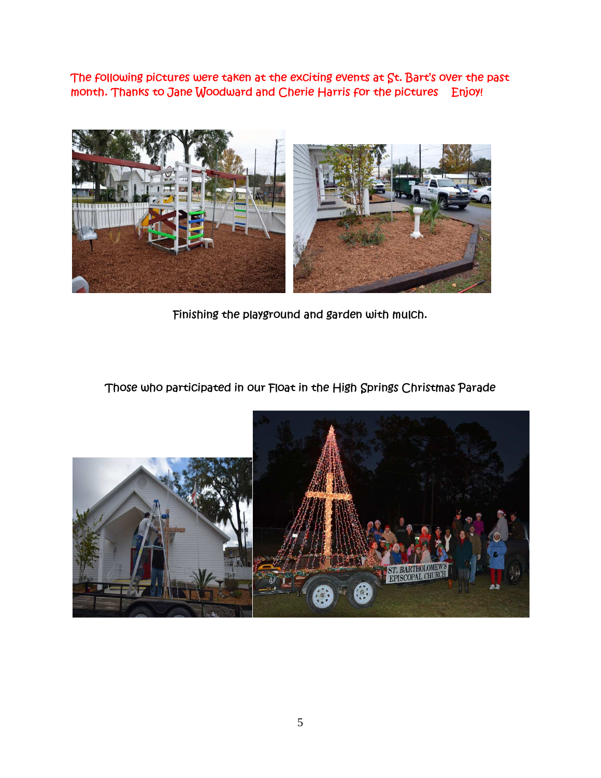The following pictures were taken at the exciting events at St. Bart's over the past month. Thanks to Jane Woodward and Cherie Harris for the pictures Enjoy!



Finishing the playground and garden with mulch.

### Those who participated in our Float in the High Springs Christmas Parade

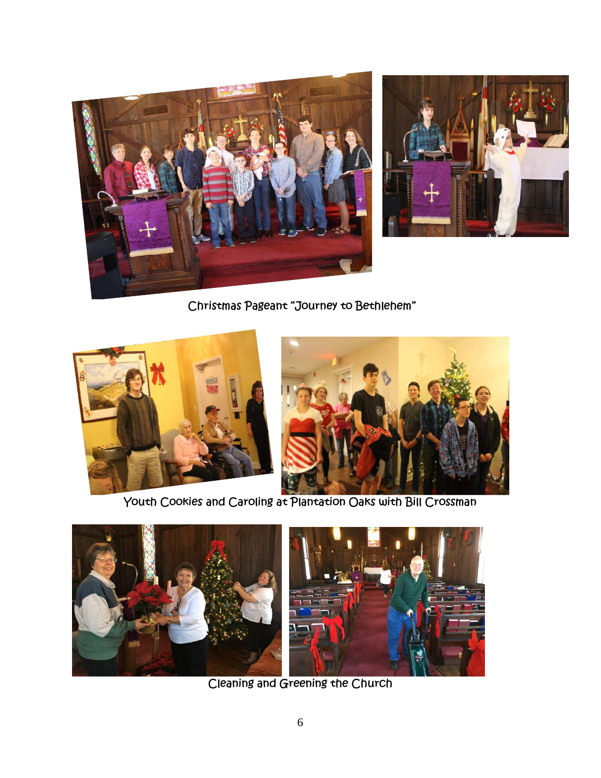



Christmas Pageant "Journey to Bethlehem"



Youth Cookies and Caroling at Plantation Oaks with Bill Crossman



Cleaning and Greening the Church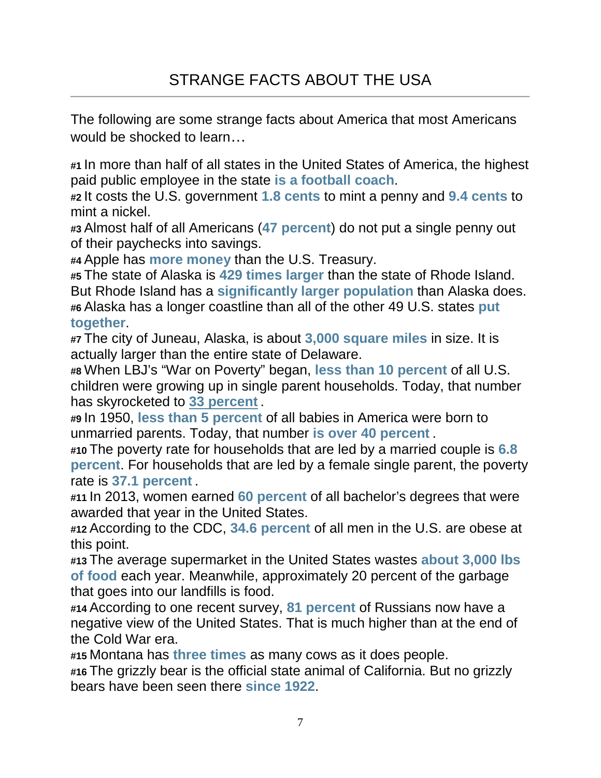The following are some strange facts about America that most Americans would be shocked to learn…

**#1** In more than half of all states in the United States of America, the highest paid public employee in the state **is a football coach**.

**#2** It costs the U.S. government **1.8 cents** to mint a penny and **9.4 cents** to mint a nickel.

**#3** Almost half of all Americans (**47 percent**) do not put a single penny out of their paychecks into savings.

**#4** Apple has **more money** than the U.S. Treasury.

**#5** The state of Alaska is **429 times larger** than the state of Rhode Island. But Rhode Island has a **significantly larger population** than Alaska does. **#6** Alaska has a longer coastline than all of the other 49 U.S. states **put together**.

**#7** The city of Juneau, Alaska, is about **3,000 square miles** in size. It is actually larger than the entire state of Delaware.

**#8** When LBJ's "War on Poverty" began, **less than 10 percent** of all U.S. children were growing up in single parent households. Today, that number has skyrocketed to **33 percent** .

**#9** In 1950, **less than 5 percent** of all babies in America were born to unmarried parents. Today, that number **is over 40 percent** .

**#10** The poverty rate for households that are led by a married couple is **6.8 percent**. For households that are led by a female single parent, the poverty rate is **37.1 percent** .

**#11** In 2013, women earned **60 percent** of all bachelor's degrees that were awarded that year in the United States.

**#12** According to the CDC, **34.6 percent** of all men in the U.S. are obese at this point.

**#13** The average supermarket in the United States wastes **about 3,000 lbs of food** each year. Meanwhile, approximately 20 percent of the garbage that goes into our landfills is food.

**#14** According to one recent survey, **81 percent** of Russians now have a negative view of the United States. That is much higher than at the end of the Cold War era.

**#15** Montana has **three times** as many cows as it does people.

**#16** The grizzly bear is the official state animal of California. But no grizzly bears have been seen there **since 1922**.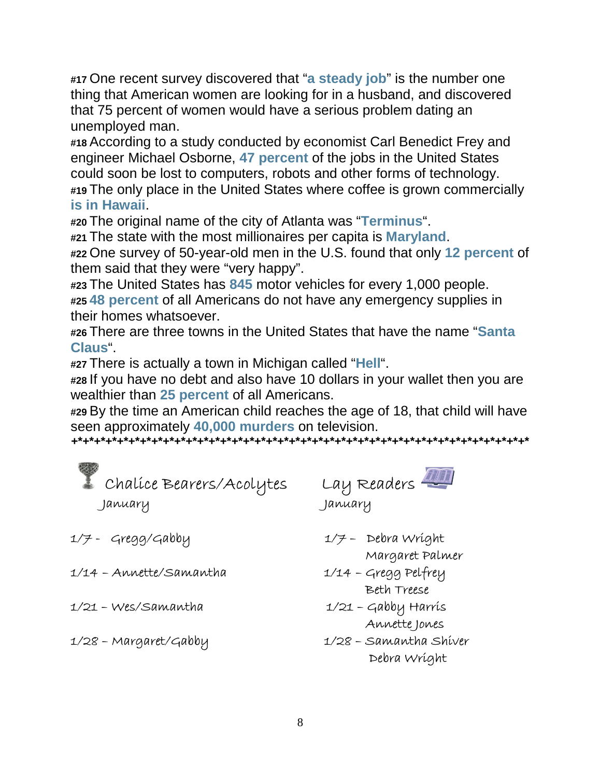**#17** One recent survey discovered that "**a steady job**" is the number one thing that American women are looking for in a husband, and discovered that 75 percent of women would have a serious problem dating an unemployed man.

**#18** According to a study conducted by economist Carl Benedict Frey and engineer Michael Osborne, **47 percent** of the jobs in the United States could soon be lost to computers, robots and other forms of technology. **#19** The only place in the United States where coffee is grown commercially **is in Hawaii**.

**#20** The original name of the city of Atlanta was "**Terminus**".

**#21** The state with the most millionaires per capita is **Maryland**.

**#22** One survey of 50-year-old men in the U.S. found that only **12 percent** of them said that they were "very happy".

**#23** The United States has **845** motor vehicles for every 1,000 people. **#25 48 percent** of all Americans do not have any emergency supplies in their homes whatsoever.

**#26** There are three towns in the United States that have the name "**Santa Claus**".

**#27** There is actually a town in Michigan called "**Hell**".

**#28** If you have no debt and also have 10 dollars in your wallet then you are wealthier than **25 percent** of all Americans.

**#29** By the time an American child reaches the age of 18, that child will have seen approximately **40,000 murders** on television.

**+\*+\*+\*+\*+\*+\*+\*+\*+\*+\*+\*+\*+\*+\*+\*+\*+\*+\*+\*+\*+\*+\*+\*+\*+\*+\*+\*+\*+\*+\*+\*+\*+\*+\*+\*+\*+\*+\*+\*+\*** 

| à |             |        |  |
|---|-------------|--------|--|
|   | ¢<br>I<br>٦ | ÷      |  |
|   | ×           | e<br>S |  |
|   |             |        |  |
|   |             |        |  |

Chalíce Bearers/Acolytes Lay Readers January January

1/7 - Gregg/Gabby 1/7 – Debra Wright

1/14 – Annette/Samantha 1/14 – Gregg Pelfrey

1/21 – Wes/Samantha 1/21 – Gabby Harris

Margaret Palmer

- Beth Treese
- Annette Jones
- 1/28 Margaret/Gabby 1/28 Samantha Shiver Debra Wright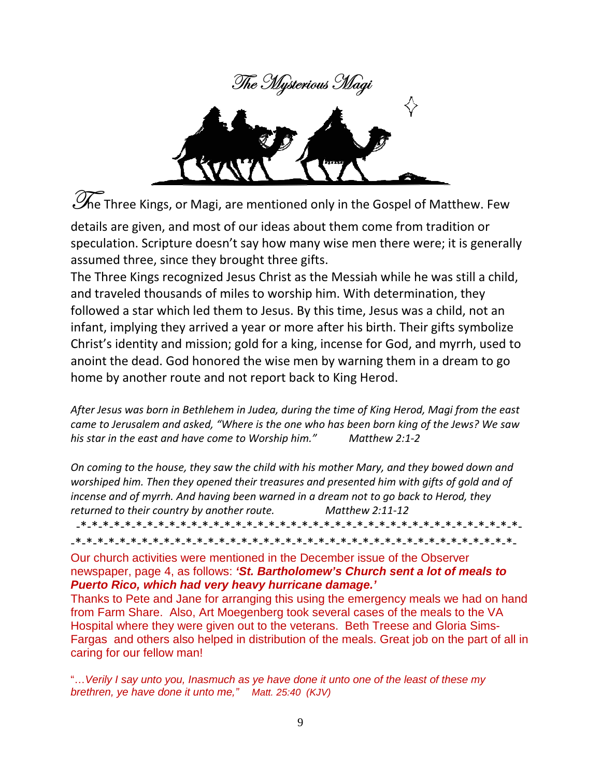

Three Kings, or Magi, are mentioned only in the Gospel of Matthew. Few

details are given, and most of our ideas about them come from tradition or speculation. Scripture doesn't say how many wise men there were; it is generally assumed three, since they brought three gifts. , are mentioned only in th<br>: of our ideas about them<br>sn't say how many wise m<br>brought three gifts.

The Three Kings recognized Jesus Christ as the Messiah while he was s still a child, and traveled thousands of miles to worship him. With determination, they followed a star which led them to Jesus. By this time, Jesus was a child, not an infant, implying they arrived a year or more after his birth. Their gifts symbolize Christ's identity and mission; gold for a king, incense for God, and myrrh, used to anoint the dead. God honored the wise men by warning them in a dream to go home by another route and not report back to King Herod. Kings recognized Jesus Christ as the Messiah while he was still and thousands of miles to worship him. With determination, they star which led them to Jesus. By this time, Jesus was a child, not a lying they arrived a year

After Jesus was born in Bethlehem in Judea, during the time of King Herod, Magi from the east came to Jerusalem and asked, "Where is the one who has been born king of the Jews? We saw his star in the east and have come to Worship him." s was born in Bethlehem in Judea, during the time of King Herod<br>erusalem and asked, "Where is the one who has been born king d<br>the east and have come to Worship him." Matthew 2:1-2

On coming to the house, they saw the child with his mother Mary, and they bowed down and worshiped him. Then they opened their treasures and presented him with gifts of gold and of On coming to the house, they saw the child with his mother Mary, and they bowed down<br>worshiped him. Then they opened their treasures and presented him with gifts of gold an<br>incense and of myrrh. And having been warned in a returned to their country by another route. Matthew 2:11-12

-\*-\*-\*-\*-\*-\*-\*-\*-\*-\*-\*-\*-\*-\* \*-\*-\*-\*-\*-\*-\*-\*-\*-\*-\*-\*-\*-\*-\*-\*-\*-\*-\*-\*-\* \*-\*-\*-\*-\*-\*-\*- -\*-\*-\*-\*-\*-\*-\*-\*-\*-\*-\*-\*-\*-\* \*-\*-\*-\*-\*-\*-\*-\*-\*-\*-\*-\*-\*-\*-\*-\*-\*-\*-\*-\*-\*- -\*-\*-\*-\*-\*-\*-

Our church activities were mentioned in the December issue of the Observer Our church activities were mentioned in the December issue of the Observer<br>newspaper, page 4, as follows: **'S***t. Bartholomew's Church sent a lot of meals to* **Puerto Rico, which had very heavy hurricane damage.' Rico, which had heavy hurricane** 

Thanks to Pete and Jane for arranging this using the emergency meals we had on hand Thanks to Pete and Jane for arranging this using the emergency meals we had on h<br>from Farm Share. Also, Art Moegenberg took several cases of the meals to the VA Hospital where they were given out to the veterans. Beth Treese and Gloria Sims-Fargas and others also helped in distribution of the meals. Great job on the part of all in caring for our fellow man!

"…Verily I say unto you, Inasmuch as ye have done it unto one of the least of these my "...Verily I say unto you, Inasmuch as ye have done it l<br>brethren, ye have done it unto me," Matt. 25:40 (KJV)